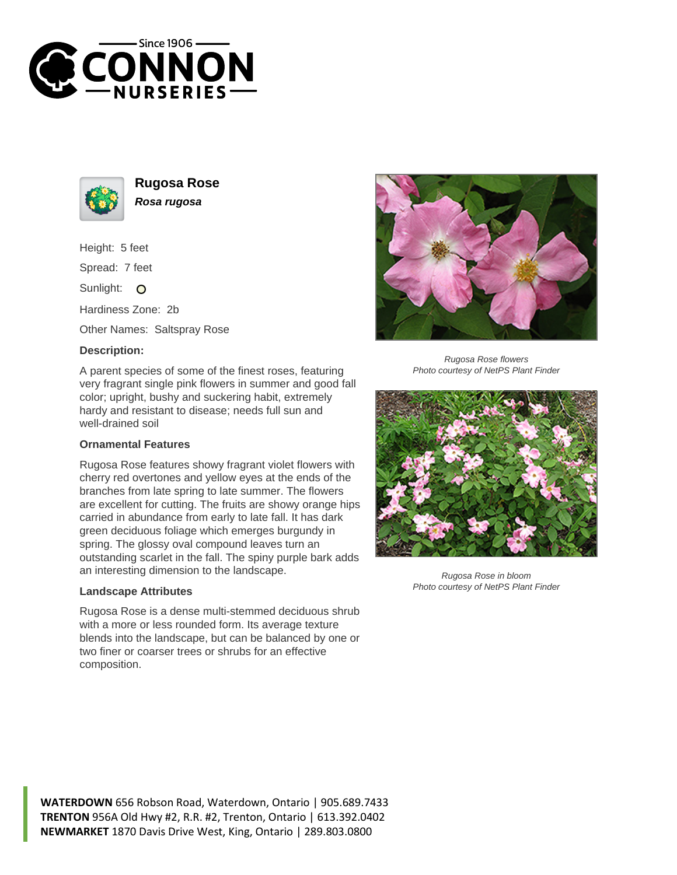



**Rugosa Rose Rosa rugosa**

Height: 5 feet

Spread: 7 feet

Sunlight: O

Hardiness Zone: 2b

Other Names: Saltspray Rose

## **Description:**

A parent species of some of the finest roses, featuring very fragrant single pink flowers in summer and good fall color; upright, bushy and suckering habit, extremely hardy and resistant to disease; needs full sun and well-drained soil

## **Ornamental Features**

Rugosa Rose features showy fragrant violet flowers with cherry red overtones and yellow eyes at the ends of the branches from late spring to late summer. The flowers are excellent for cutting. The fruits are showy orange hips carried in abundance from early to late fall. It has dark green deciduous foliage which emerges burgundy in spring. The glossy oval compound leaves turn an outstanding scarlet in the fall. The spiny purple bark adds an interesting dimension to the landscape.

## **Landscape Attributes**

Rugosa Rose is a dense multi-stemmed deciduous shrub with a more or less rounded form. Its average texture blends into the landscape, but can be balanced by one or two finer or coarser trees or shrubs for an effective composition.



Rugosa Rose flowers Photo courtesy of NetPS Plant Finder



Rugosa Rose in bloom Photo courtesy of NetPS Plant Finder

**WATERDOWN** 656 Robson Road, Waterdown, Ontario | 905.689.7433 **TRENTON** 956A Old Hwy #2, R.R. #2, Trenton, Ontario | 613.392.0402 **NEWMARKET** 1870 Davis Drive West, King, Ontario | 289.803.0800